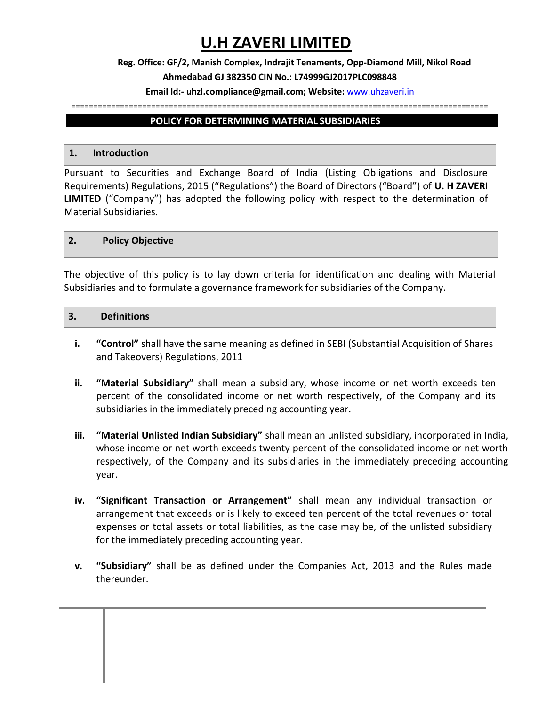# **U.H ZAVERI LIMITED**

## **Reg. Office: GF/2, Manish Complex, Indrajit Tenaments, Opp-Diamond Mill, Nikol Road Ahmedabad GJ 382350 CIN No.: L74999GJ2017PLC098848**

## **Email Id:- uhzl.compliance@gmail.com; Website:** [www.uhzaveri.i](http://www.uhzaveri./)n

#### ==============================================================================================

## **POLICY FOR DETERMINING MATERIAL SUBSIDIARIES**

#### **1. Introduction**

Pursuant to Securities and Exchange Board of India (Listing Obligations and Disclosure Requirements) Regulations, 2015 ("Regulations") the Board of Directors ("Board") of **U. H ZAVERI LIMITED** ("Company") has adopted the following policy with respect to the determination of Material Subsidiaries.

#### **2. Policy Objective**

The objective of this policy is to lay down criteria for identification and dealing with Material Subsidiaries and to formulate a governance framework for subsidiaries of the Company.

#### **3. Definitions**

- **i. "Control"** shall have the same meaning as defined in SEBI (Substantial Acquisition of Shares and Takeovers) Regulations, 2011
- **ii. "Material Subsidiary"** shall mean a subsidiary, whose income or net worth exceeds ten percent of the consolidated income or net worth respectively, of the Company and its subsidiaries in the immediately preceding accounting year.
- **iii. "Material Unlisted Indian Subsidiary"** shall mean an unlisted subsidiary, incorporated in India, whose income or net worth exceeds twenty percent of the consolidated income or net worth respectively, of the Company and its subsidiaries in the immediately preceding accounting year.
- **iv. "Significant Transaction or Arrangement"** shall mean any individual transaction or arrangement that exceeds or is likely to exceed ten percent of the total revenues or total expenses or total assets or total liabilities, as the case may be, of the unlisted subsidiary for the immediately preceding accounting year.
- **v. "Subsidiary"** shall be as defined under the Companies Act, 2013 and the Rules made thereunder.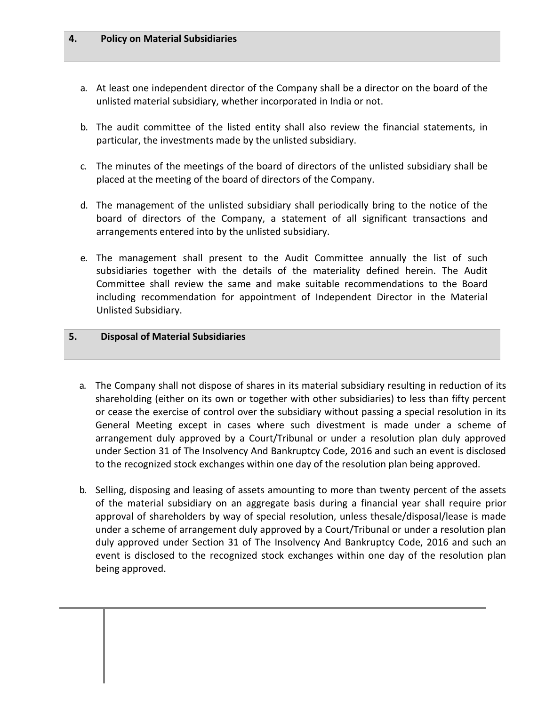### **4. Policy on Material Subsidiaries**

- a. At least one independent director of the Company shall be a director on the board of the unlisted material subsidiary, whether incorporated in India or not.
- b. The audit committee of the listed entity shall also review the financial statements, in particular, the investments made by the unlisted subsidiary.
- c. The minutes of the meetings of the board of directors of the unlisted subsidiary shall be placed at the meeting of the board of directors of the Company.
- d. The management of the unlisted subsidiary shall periodically bring to the notice of the board of directors of the Company, a statement of all significant transactions and arrangements entered into by the unlisted subsidiary.
- e. The management shall present to the Audit Committee annually the list of such subsidiaries together with the details of the materiality defined herein. The Audit Committee shall review the same and make suitable recommendations to the Board including recommendation for appointment of Independent Director in the Material Unlisted Subsidiary.

## **5. Disposal of Material Subsidiaries**

- a. The Company shall not dispose of shares in its material subsidiary resulting in reduction of its shareholding (either on its own or together with other subsidiaries) to less than fifty percent or cease the exercise of control over the subsidiary without passing a special resolution in its General Meeting except in cases where such divestment is made under a scheme of arrangement duly approved by a Court/Tribunal or under a resolution plan duly approved under Section 31 of The Insolvency And Bankruptcy Code, 2016 and such an event is disclosed to the recognized stock exchanges within one day of the resolution plan being approved.
- b. Selling, disposing and leasing of assets amounting to more than twenty percent of the assets of the material subsidiary on an aggregate basis during a financial year shall require prior approval of shareholders by way of special resolution, unless thesale/disposal/lease is made under a scheme of arrangement duly approved by a Court/Tribunal or under a resolution plan duly approved under Section 31 of The Insolvency And Bankruptcy Code, 2016 and such an event is disclosed to the recognized stock exchanges within one day of the resolution plan being approved.